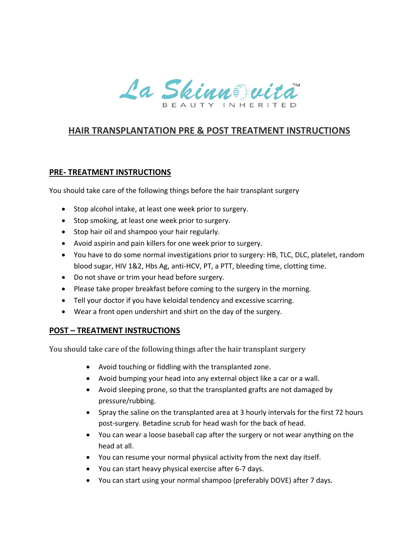

## **HAIR TRANSPLANTATION PRE & POST TREATMENT INSTRUCTIONS**

## **PRE- TREATMENT INSTRUCTIONS**

You should take care of the following things before the hair transplant surgery

- Stop alcohol intake, at least one week prior to surgery.
- Stop smoking, at least one week prior to surgery.
- Stop hair oil and shampoo your hair regularly.
- Avoid aspirin and pain killers for one week prior to surgery.
- You have to do some normal investigations prior to surgery: HB, TLC, DLC, platelet, random blood sugar, HIV 1&2, Hbs Ag, anti-HCV, PT, a PTT, bleeding time, clotting time.
- Do not shave or trim your head before surgery.
- Please take proper breakfast before coming to the surgery in the morning.
- Tell your doctor if you have keloidal tendency and excessive scarring.
- Wear a front open undershirt and shirt on the day of the surgery.

## **POST – TREATMENT INSTRUCTIONS**

You should take care of the following things after the hair transplant surgery

- Avoid touching or fiddling with the transplanted zone.
- Avoid bumping your head into any external object like a car or a wall.
- Avoid sleeping prone, so that the transplanted grafts are not damaged by pressure/rubbing.
- Spray the saline on the transplanted area at 3 hourly intervals for the first 72 hours post-surgery. Betadine scrub for head wash for the back of head.
- You can wear a loose baseball cap after the surgery or not wear anything on the head at all.
- You can resume your normal physical activity from the next day itself.
- You can start heavy physical exercise after 6-7 days.
- You can start using your normal shampoo (preferably DOVE) after 7 days.